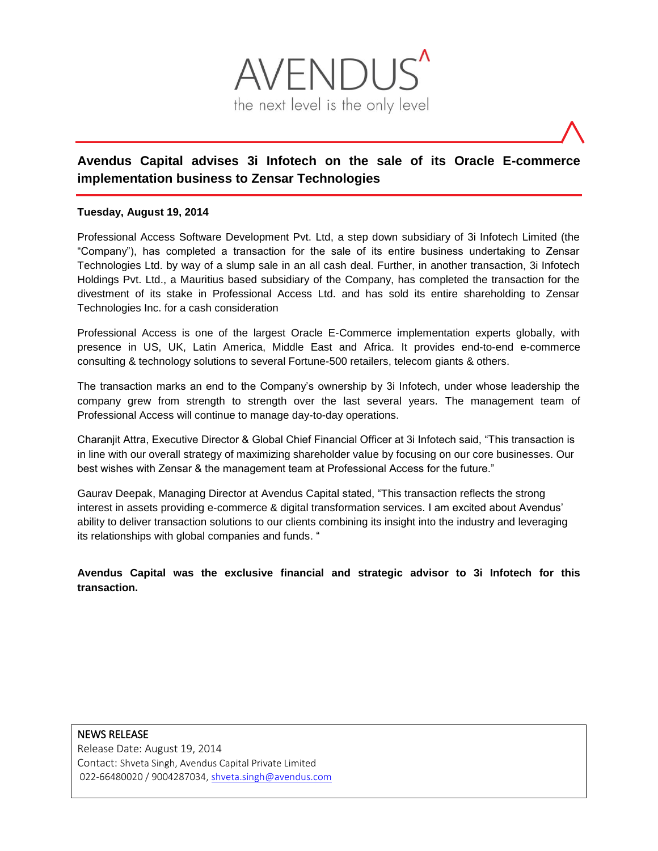

# **Avendus Capital advises 3i Infotech on the sale of its Oracle E-commerce implementation business to Zensar Technologies**

### **Tuesday, August 19, 2014**

Professional Access Software Development Pvt. Ltd, a step down subsidiary of 3i Infotech Limited (the "Company"), has completed a transaction for the sale of its entire business undertaking to Zensar Technologies Ltd. by way of a slump sale in an all cash deal. Further, in another transaction, 3i Infotech Holdings Pvt. Ltd., a Mauritius based subsidiary of the Company, has completed the transaction for the divestment of its stake in Professional Access Ltd. and has sold its entire shareholding to Zensar Technologies Inc. for a cash consideration

Professional Access is one of the largest Oracle E-Commerce implementation experts globally, with presence in US, UK, Latin America, Middle East and Africa. It provides end-to-end e-commerce consulting & technology solutions to several Fortune-500 retailers, telecom giants & others.

The transaction marks an end to the Company's ownership by 3i Infotech, under whose leadership the company grew from strength to strength over the last several years. The management team of Professional Access will continue to manage day-to-day operations.

Charanjit Attra, Executive Director & Global Chief Financial Officer at 3i Infotech said, "This transaction is in line with our overall strategy of maximizing shareholder value by focusing on our core businesses. Our best wishes with Zensar & the management team at Professional Access for the future."

Gaurav Deepak, Managing Director at Avendus Capital stated, "This transaction reflects the strong interest in assets providing e-commerce & digital transformation services. I am excited about Avendus' ability to deliver transaction solutions to our clients combining its insight into the industry and leveraging its relationships with global companies and funds. "

**Avendus Capital was the exclusive financial and strategic advisor to 3i Infotech for this transaction.**

## NEWS RELEASE

Release Date: August 19, 2014 Contact: Shveta Singh, Avendus Capital Private Limited 022-66480020 / 9004287034[, shveta.singh@avendus.com](mailto:shveta.singh@avendus.com)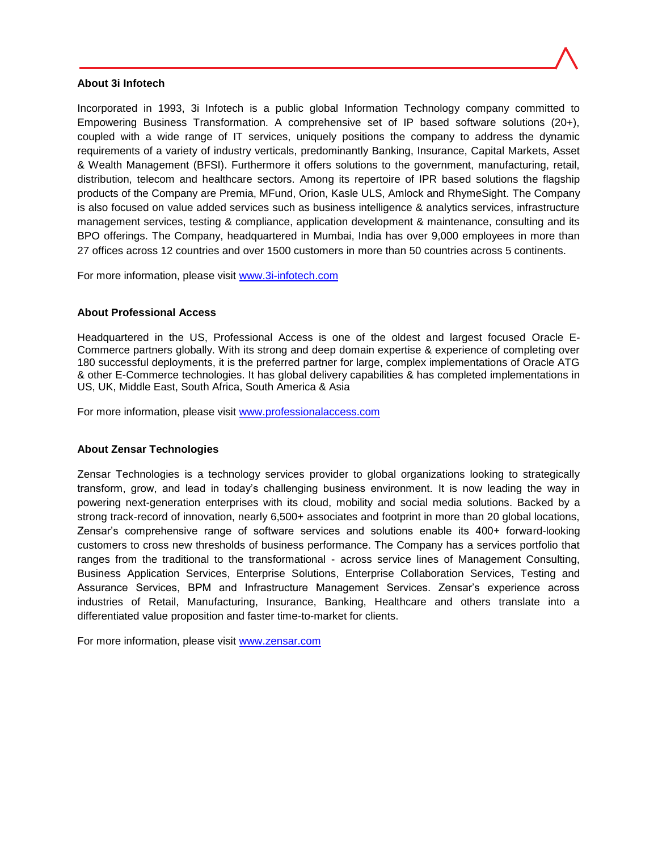#### **About 3i Infotech**

Incorporated in 1993, 3i Infotech is a public global Information Technology company committed to Empowering Business Transformation. A comprehensive set of IP based software solutions (20+), coupled with a wide range of IT services, uniquely positions the company to address the dynamic requirements of a variety of industry verticals, predominantly Banking, Insurance, Capital Markets, Asset & Wealth Management (BFSI). Furthermore it offers solutions to the government, manufacturing, retail, distribution, telecom and healthcare sectors. Among its repertoire of IPR based solutions the flagship products of the Company are Premia, MFund, Orion, Kasle ULS, Amlock and RhymeSight. The Company is also focused on value added services such as business intelligence & analytics services, infrastructure management services, testing & compliance, application development & maintenance, consulting and its BPO offerings. The Company, headquartered in Mumbai, India has over 9,000 employees in more than 27 offices across 12 countries and over 1500 customers in more than 50 countries across 5 continents.

For more information, please visit [www.3i-infotech.com](http://www.3i-infotech.com/)

#### **About Professional Access**

Headquartered in the US, Professional Access is one of the oldest and largest focused Oracle E-Commerce partners globally. With its strong and deep domain expertise & experience of completing over 180 successful deployments, it is the preferred partner for large, complex implementations of Oracle ATG & other E-Commerce technologies. It has global delivery capabilities & has completed implementations in US, UK, Middle East, South Africa, South America & Asia

For more information, please visit [www.professionalaccess.com](http://www.professionalaccess.com/)

#### **About Zensar Technologies**

Zensar Technologies is a technology services provider to global organizations looking to strategically transform, grow, and lead in today's challenging business environment. It is now leading the way in powering next-generation enterprises with its cloud, mobility and social media solutions. Backed by a strong track-record of innovation, nearly 6,500+ associates and footprint in more than 20 global locations, Zensar's comprehensive range of software services and solutions enable its 400+ forward-looking customers to cross new thresholds of business performance. The Company has a services portfolio that ranges from the traditional to the transformational - across service lines of Management Consulting, Business Application Services, Enterprise Solutions, Enterprise Collaboration Services, Testing and Assurance Services, BPM and Infrastructure Management Services. Zensar's experience across industries of Retail, Manufacturing, Insurance, Banking, Healthcare and others translate into a differentiated value proposition and faster time-to-market for clients.

For more information, please visit [www.zensar.com](http://www.zensar.com/)